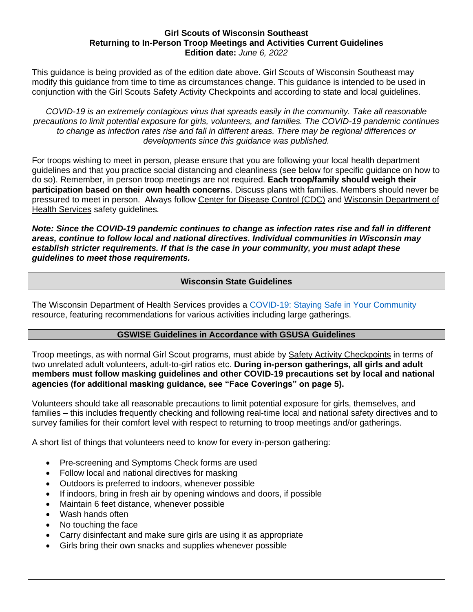### **Girl Scouts of Wisconsin Southeast Returning to In-Person Troop Meetings and Activities Current Guidelines Edition date:** *June 6, 2022*

This guidance is being provided as of the edition date above. Girl Scouts of Wisconsin Southeast may modify this guidance from time to time as circumstances change. This guidance is intended to be used in conjunction with the Girl Scouts Safety Activity Checkpoints and according to state and local guidelines.

*COVID-19 is an extremely contagious virus that spreads easily in the community. Take all reasonable precautions to limit potential exposure for girls, volunteers, and families. The COVID-19 pandemic continues to change as infection rates rise and fall in different areas. There may be regional differences or developments since this guidance was published.*

For troops wishing to meet in person, please ensure that you are following your local health department guidelines and that you practice social distancing and cleanliness (see below for specific guidance on how to do so). Remember, in person troop meetings are not required. **Each troop/family should weigh their participation based on their own health concerns**. Discuss plans with families. Members should never be pressured to meet in person. Always follow [Center for Disease Control \(CDC\)](https://www.cdc.gov/coronavirus/2019-ncov/your-health/covid-by-county.htm) and [Wisconsin Department of](https://www.dhs.wisconsin.gov/disease/covid-19.htm)  [Health Services](https://www.dhs.wisconsin.gov/disease/covid-19.htm) safety guidelines*.*

*Note: Since the COVID-19 pandemic continues to change as infection rates rise and fall in different areas, continue to follow local and national directives. Individual communities in Wisconsin may establish stricter requirements. If that is the case in your community, you must adapt these guidelines to meet those requirements.*

## **Wisconsin State Guidelines**

The Wisconsin Department of Health Services provides a COVID-19: [Staying Safe in Your Community](https://www.dhs.wisconsin.gov/covid-19/community.htm) resource, featuring recommendations for various activities including large gatherings.

## **GSWISE Guidelines in Accordance with GSUSA Guidelines**

Troop meetings, as with normal Girl Scout programs, must abide by [Safety Activity Checkpoints](https://www.gswise.org/content/dam/girlscouts-gswise/documents/2020%20Edition%20SACP@4.8.20%20(1).pdf) in terms of two unrelated adult volunteers, adult-to-girl ratios etc. **During in-person gatherings, all girls and adult members must follow masking guidelines and other COVID-19 precautions set by local and national agencies (for additional masking guidance, see "Face Coverings" on page 5).** 

Volunteers should take all reasonable precautions to limit potential exposure for girls, themselves, and families – this includes frequently checking and following real-time [local](https://www.fsis.usda.gov/wps/wcm/connect/fsis-content/internet/main/topics/recalls-and-public-health-alerts/additional-recall-links/state-departments-of-public-health/ct_index) and [national](https://www.cdc.gov/coronavirus/2019-ncov/index.html) safety directives and to survey families for their comfort level with respect to returning to troop meetings and/or gatherings.

A short list of things that volunteers need to know for every in-person gathering:

- Pre-screening and Symptoms Check forms are used
- Follow local and national directives for masking
- Outdoors is preferred to indoors, whenever possible
- If indoors, bring in fresh air by opening windows and doors, if possible
- Maintain 6 feet distance, whenever possible
- Wash hands often
- No touching the face
- Carry disinfectant and make sure girls are using it as appropriate
- Girls bring their own snacks and supplies whenever possible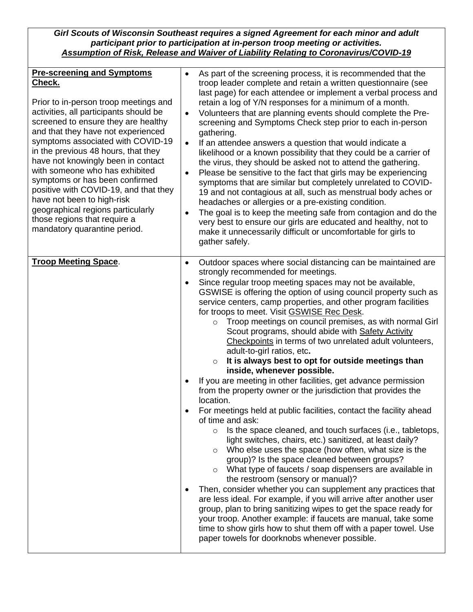*Girl Scouts of Wisconsin Southeast requires a signed Agreement for each minor and adult participant prior to participation at in-person troop meeting or activities. [Assumption of Risk, Release and Waiver of Liability Relating to Coronavirus/COVID-19](https://form.jotform.com/202475467955164)*

| <b>Pre-screening and Symptoms</b><br>Check.<br>Prior to in-person troop meetings and<br>activities, all participants should be<br>screened to ensure they are healthy<br>and that they have not experienced<br>symptoms associated with COVID-19<br>in the previous 48 hours, that they<br>have not knowingly been in contact<br>with someone who has exhibited<br>symptoms or has been confirmed<br>positive with COVID-19, and that they<br>have not been to high-risk<br>geographical regions particularly<br>those regions that require a<br>mandatory quarantine period. | As part of the screening process, it is recommended that the<br>$\bullet$<br>troop leader complete and retain a written questionnaire (see<br>last page) for each attendee or implement a verbal process and<br>retain a log of Y/N responses for a minimum of a month.<br>Volunteers that are planning events should complete the Pre-<br>$\bullet$<br>screening and Symptoms Check step prior to each in-person<br>gathering.<br>If an attendee answers a question that would indicate a<br>$\bullet$<br>likelihood or a known possibility that they could be a carrier of<br>the virus, they should be asked not to attend the gathering.<br>Please be sensitive to the fact that girls may be experiencing<br>$\bullet$<br>symptoms that are similar but completely unrelated to COVID-<br>19 and not contagious at all, such as menstrual body aches or<br>headaches or allergies or a pre-existing condition.<br>The goal is to keep the meeting safe from contagion and do the<br>$\bullet$<br>very best to ensure our girls are educated and healthy, not to<br>make it unnecessarily difficult or uncomfortable for girls to<br>gather safely.                                                                                                                                                                                                                                                                                                                                                                                                                                                                                                                                                                     |
|-------------------------------------------------------------------------------------------------------------------------------------------------------------------------------------------------------------------------------------------------------------------------------------------------------------------------------------------------------------------------------------------------------------------------------------------------------------------------------------------------------------------------------------------------------------------------------|-----------------------------------------------------------------------------------------------------------------------------------------------------------------------------------------------------------------------------------------------------------------------------------------------------------------------------------------------------------------------------------------------------------------------------------------------------------------------------------------------------------------------------------------------------------------------------------------------------------------------------------------------------------------------------------------------------------------------------------------------------------------------------------------------------------------------------------------------------------------------------------------------------------------------------------------------------------------------------------------------------------------------------------------------------------------------------------------------------------------------------------------------------------------------------------------------------------------------------------------------------------------------------------------------------------------------------------------------------------------------------------------------------------------------------------------------------------------------------------------------------------------------------------------------------------------------------------------------------------------------------------------------------------------------------------------------------------------------------|
| <b>Troop Meeting Space.</b>                                                                                                                                                                                                                                                                                                                                                                                                                                                                                                                                                   | Outdoor spaces where social distancing can be maintained are<br>$\bullet$<br>strongly recommended for meetings.<br>Since regular troop meeting spaces may not be available,<br>$\bullet$<br>GSWISE is offering the option of using council property such as<br>service centers, camp properties, and other program facilities<br>for troops to meet. Visit GSWISE Rec Desk.<br>Troop meetings on council premises, as with normal Girl<br>$\circ$<br>Scout programs, should abide with Safety Activity<br>Checkpoints in terms of two unrelated adult volunteers,<br>adult-to-girl ratios, etc.<br>It is always best to opt for outside meetings than<br>$\circ$<br>inside, whenever possible.<br>If you are meeting in other facilities, get advance permission<br>$\bullet$<br>from the property owner or the jurisdiction that provides the<br>location.<br>For meetings held at public facilities, contact the facility ahead<br>of time and ask:<br>Is the space cleaned, and touch surfaces (i.e., tabletops,<br>$\circ$<br>light switches, chairs, etc.) sanitized, at least daily?<br>Who else uses the space (how often, what size is the<br>$\circ$<br>group)? Is the space cleaned between groups?<br>o What type of faucets / soap dispensers are available in<br>the restroom (sensory or manual)?<br>Then, consider whether you can supplement any practices that<br>$\bullet$<br>are less ideal. For example, if you will arrive after another user<br>group, plan to bring sanitizing wipes to get the space ready for<br>your troop. Another example: if faucets are manual, take some<br>time to show girls how to shut them off with a paper towel. Use<br>paper towels for doorknobs whenever possible. |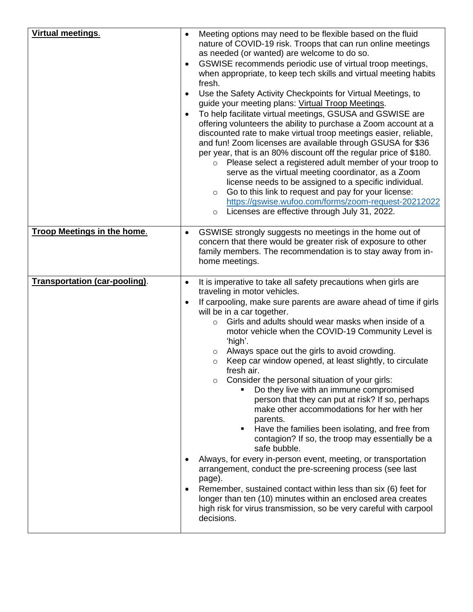| <b>Virtual meetings.</b>           | Meeting options may need to be flexible based on the fluid<br>$\bullet$<br>nature of COVID-19 risk. Troops that can run online meetings<br>as needed (or wanted) are welcome to do so.<br>GSWISE recommends periodic use of virtual troop meetings,<br>$\bullet$<br>when appropriate, to keep tech skills and virtual meeting habits<br>fresh.<br>Use the Safety Activity Checkpoints for Virtual Meetings, to<br>$\bullet$<br>guide your meeting plans: Virtual Troop Meetings.<br>To help facilitate virtual meetings, GSUSA and GSWISE are<br>$\bullet$<br>offering volunteers the ability to purchase a Zoom account at a<br>discounted rate to make virtual troop meetings easier, reliable,<br>and fun! Zoom licenses are available through GSUSA for \$36<br>per year, that is an 80% discount off the regular price of \$180.<br>Please select a registered adult member of your troop to<br>$\circ$<br>serve as the virtual meeting coordinator, as a Zoom<br>license needs to be assigned to a specific individual.<br>Go to this link to request and pay for your license:<br>$\circ$<br>https://gswise.wufoo.com/forms/zoom-request-20212022<br>Licenses are effective through July 31, 2022.<br>$\circ$                          |
|------------------------------------|-----------------------------------------------------------------------------------------------------------------------------------------------------------------------------------------------------------------------------------------------------------------------------------------------------------------------------------------------------------------------------------------------------------------------------------------------------------------------------------------------------------------------------------------------------------------------------------------------------------------------------------------------------------------------------------------------------------------------------------------------------------------------------------------------------------------------------------------------------------------------------------------------------------------------------------------------------------------------------------------------------------------------------------------------------------------------------------------------------------------------------------------------------------------------------------------------------------------------------------------------|
| <b>Troop Meetings in the home.</b> | GSWISE strongly suggests no meetings in the home out of<br>$\bullet$<br>concern that there would be greater risk of exposure to other<br>family members. The recommendation is to stay away from in-<br>home meetings.                                                                                                                                                                                                                                                                                                                                                                                                                                                                                                                                                                                                                                                                                                                                                                                                                                                                                                                                                                                                                        |
| Transportation (car-pooling).      | It is imperative to take all safety precautions when girls are<br>$\bullet$<br>traveling in motor vehicles.<br>If carpooling, make sure parents are aware ahead of time if girls<br>$\bullet$<br>will be in a car together.<br>Girls and adults should wear masks when inside of a<br>$\circ$<br>motor vehicle when the COVID-19 Community Level is<br>'high'.<br>Always space out the girls to avoid crowding.<br>$\circ$<br>Keep car window opened, at least slightly, to circulate<br>$\circ$<br>fresh air.<br>Consider the personal situation of your girls:<br>$\circ$<br>Do they live with an immune compromised<br>٠<br>person that they can put at risk? If so, perhaps<br>make other accommodations for her with her<br>parents.<br>Have the families been isolating, and free from<br>п<br>contagion? If so, the troop may essentially be a<br>safe bubble.<br>Always, for every in-person event, meeting, or transportation<br>arrangement, conduct the pre-screening process (see last<br>page).<br>Remember, sustained contact within less than six (6) feet for<br>$\bullet$<br>longer than ten (10) minutes within an enclosed area creates<br>high risk for virus transmission, so be very careful with carpool<br>decisions. |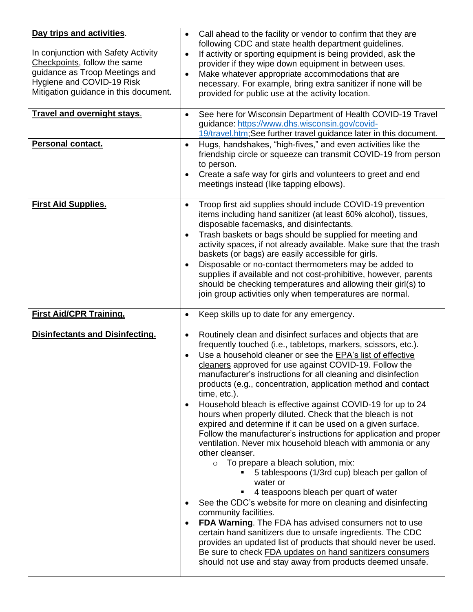| Day trips and activities.<br>In conjunction with Safety Activity<br>Checkpoints, follow the same<br>guidance as Troop Meetings and<br>Hygiene and COVID-19 Risk<br>Mitigation guidance in this document. | Call ahead to the facility or vendor to confirm that they are<br>$\bullet$<br>following CDC and state health department guidelines.<br>If activity or sporting equipment is being provided, ask the<br>$\bullet$<br>provider if they wipe down equipment in between uses.<br>Make whatever appropriate accommodations that are<br>$\bullet$<br>necessary. For example, bring extra sanitizer if none will be<br>provided for public use at the activity location.                                                                                                                                                                                                                                                                                                                                                                                                                                                                                                                                                                                                                                                                                                                                                                                                                                                                                                                                   |
|----------------------------------------------------------------------------------------------------------------------------------------------------------------------------------------------------------|-----------------------------------------------------------------------------------------------------------------------------------------------------------------------------------------------------------------------------------------------------------------------------------------------------------------------------------------------------------------------------------------------------------------------------------------------------------------------------------------------------------------------------------------------------------------------------------------------------------------------------------------------------------------------------------------------------------------------------------------------------------------------------------------------------------------------------------------------------------------------------------------------------------------------------------------------------------------------------------------------------------------------------------------------------------------------------------------------------------------------------------------------------------------------------------------------------------------------------------------------------------------------------------------------------------------------------------------------------------------------------------------------------|
| <b>Travel and overnight stays.</b>                                                                                                                                                                       | See here for Wisconsin Department of Health COVID-19 Travel<br>$\bullet$<br>guidance: https://www.dhs.wisconsin.gov/covid-<br>19/travel.htm; See further travel guidance later in this document.                                                                                                                                                                                                                                                                                                                                                                                                                                                                                                                                                                                                                                                                                                                                                                                                                                                                                                                                                                                                                                                                                                                                                                                                    |
| Personal contact.                                                                                                                                                                                        | Hugs, handshakes, "high-fives," and even activities like the<br>$\bullet$<br>friendship circle or squeeze can transmit COVID-19 from person<br>to person.<br>Create a safe way for girls and volunteers to greet and end<br>$\bullet$<br>meetings instead (like tapping elbows).                                                                                                                                                                                                                                                                                                                                                                                                                                                                                                                                                                                                                                                                                                                                                                                                                                                                                                                                                                                                                                                                                                                    |
| <b>First Aid Supplies.</b>                                                                                                                                                                               | Troop first aid supplies should include COVID-19 prevention<br>$\bullet$<br>items including hand sanitizer (at least 60% alcohol), tissues,<br>disposable facemasks, and disinfectants.<br>Trash baskets or bags should be supplied for meeting and<br>$\bullet$<br>activity spaces, if not already available. Make sure that the trash<br>baskets (or bags) are easily accessible for girls.<br>Disposable or no-contact thermometers may be added to<br>$\bullet$<br>supplies if available and not cost-prohibitive, however, parents<br>should be checking temperatures and allowing their girl(s) to<br>join group activities only when temperatures are normal.                                                                                                                                                                                                                                                                                                                                                                                                                                                                                                                                                                                                                                                                                                                                |
| <b>First Aid/CPR Training.</b>                                                                                                                                                                           | Keep skills up to date for any emergency.<br>$\bullet$                                                                                                                                                                                                                                                                                                                                                                                                                                                                                                                                                                                                                                                                                                                                                                                                                                                                                                                                                                                                                                                                                                                                                                                                                                                                                                                                              |
| <b>Disinfectants and Disinfecting.</b>                                                                                                                                                                   | Routinely clean and disinfect surfaces and objects that are<br>$\bullet$<br>frequently touched (i.e., tabletops, markers, scissors, etc.).<br>Use a household cleaner or see the EPA's list of effective<br>$\bullet$<br>cleaners approved for use against COVID-19. Follow the<br>manufacturer's instructions for all cleaning and disinfection<br>products (e.g., concentration, application method and contact<br>time, etc.).<br>Household bleach is effective against COVID-19 for up to 24<br>$\bullet$<br>hours when properly diluted. Check that the bleach is not<br>expired and determine if it can be used on a given surface.<br>Follow the manufacturer's instructions for application and proper<br>ventilation. Never mix household bleach with ammonia or any<br>other cleanser.<br>To prepare a bleach solution, mix:<br>$\circ$<br>5 tablespoons (1/3rd cup) bleach per gallon of<br>water or<br>4 teaspoons bleach per quart of water<br>٠<br>See the CDC's website for more on cleaning and disinfecting<br>$\bullet$<br>community facilities.<br>FDA Warning. The FDA has advised consumers not to use<br>$\bullet$<br>certain hand sanitizers due to unsafe ingredients. The CDC<br>provides an updated list of products that should never be used.<br>Be sure to check FDA updates on hand sanitizers consumers<br>should not use and stay away from products deemed unsafe. |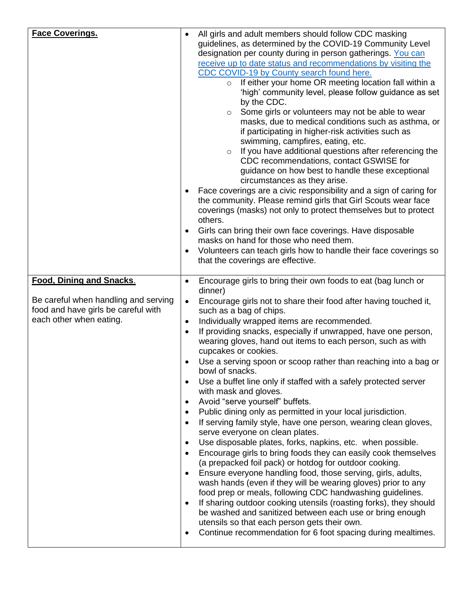| <b>Face Coverings.</b>                                                                                                                    | $\bullet$<br>$\bullet$<br>$\bullet$                                                                                                                           | All girls and adult members should follow CDC masking<br>guidelines, as determined by the COVID-19 Community Level<br>designation per county during in person gatherings. You can<br>receive up to date status and recommendations by visiting the<br>CDC COVID-19 by County search found here.<br>If either your home OR meeting location fall within a<br>$\circ$<br>'high' community level, please follow guidance as set<br>by the CDC.<br>Some girls or volunteers may not be able to wear<br>$\circ$<br>masks, due to medical conditions such as asthma, or<br>if participating in higher-risk activities such as<br>swimming, campfires, eating, etc.<br>If you have additional questions after referencing the<br>$\circ$<br>CDC recommendations, contact GSWISE for<br>guidance on how best to handle these exceptional<br>circumstances as they arise.<br>Face coverings are a civic responsibility and a sign of caring for<br>the community. Please remind girls that Girl Scouts wear face<br>coverings (masks) not only to protect themselves but to protect<br>others.<br>Girls can bring their own face coverings. Have disposable<br>masks on hand for those who need them.<br>Volunteers can teach girls how to handle their face coverings so                                                                                                                                                    |
|-------------------------------------------------------------------------------------------------------------------------------------------|---------------------------------------------------------------------------------------------------------------------------------------------------------------|---------------------------------------------------------------------------------------------------------------------------------------------------------------------------------------------------------------------------------------------------------------------------------------------------------------------------------------------------------------------------------------------------------------------------------------------------------------------------------------------------------------------------------------------------------------------------------------------------------------------------------------------------------------------------------------------------------------------------------------------------------------------------------------------------------------------------------------------------------------------------------------------------------------------------------------------------------------------------------------------------------------------------------------------------------------------------------------------------------------------------------------------------------------------------------------------------------------------------------------------------------------------------------------------------------------------------------------------------------------------------------------------------------------------|
|                                                                                                                                           |                                                                                                                                                               | that the coverings are effective.                                                                                                                                                                                                                                                                                                                                                                                                                                                                                                                                                                                                                                                                                                                                                                                                                                                                                                                                                                                                                                                                                                                                                                                                                                                                                                                                                                                   |
| <b>Food, Dining and Snacks.</b><br>Be careful when handling and serving<br>food and have girls be careful with<br>each other when eating. | $\bullet$<br>$\bullet$<br>$\bullet$<br>$\bullet$<br>$\bullet$<br>$\bullet$<br>٠<br>$\bullet$<br>$\bullet$<br>$\bullet$<br>$\bullet$<br>$\bullet$<br>$\bullet$ | Encourage girls to bring their own foods to eat (bag lunch or<br>dinner)<br>Encourage girls not to share their food after having touched it,<br>such as a bag of chips.<br>Individually wrapped items are recommended.<br>If providing snacks, especially if unwrapped, have one person,<br>wearing gloves, hand out items to each person, such as with<br>cupcakes or cookies.<br>Use a serving spoon or scoop rather than reaching into a bag or<br>bowl of snacks.<br>Use a buffet line only if staffed with a safely protected server<br>with mask and gloves.<br>Avoid "serve yourself" buffets.<br>Public dining only as permitted in your local jurisdiction.<br>If serving family style, have one person, wearing clean gloves,<br>serve everyone on clean plates.<br>Use disposable plates, forks, napkins, etc. when possible.<br>Encourage girls to bring foods they can easily cook themselves<br>(a prepacked foil pack) or hotdog for outdoor cooking.<br>Ensure everyone handling food, those serving, girls, adults,<br>wash hands (even if they will be wearing gloves) prior to any<br>food prep or meals, following CDC handwashing guidelines.<br>If sharing outdoor cooking utensils (roasting forks), they should<br>be washed and sanitized between each use or bring enough<br>utensils so that each person gets their own.<br>Continue recommendation for 6 foot spacing during mealtimes. |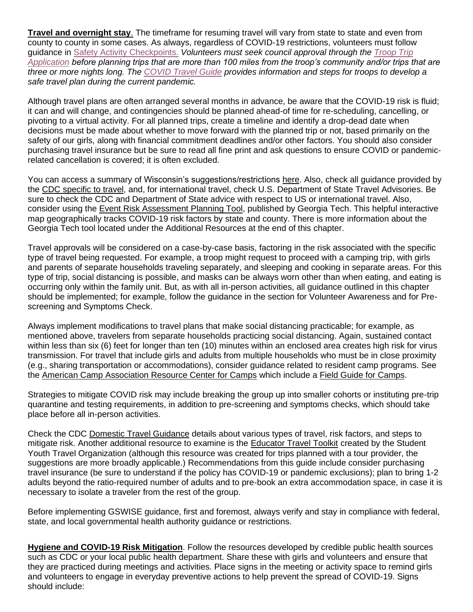**Travel and overnight stay**. The timeframe for resuming travel will vary from state to state and even from county to county in some cases. As always, regardless of COVID-19 restrictions, volunteers must follow guidance in [Safety Activity Checkpoints.](https://www.gswise.org/content/dam/girlscouts-gswise/documents/2020%20Edition%20SACP@4.8.20%20(1).pdf) *Volunteers must seek council approval through the [Troop Trip](https://form.jotform.com/213507159743054)  [Application](https://form.jotform.com/213507159743054) before planning trips that are more than 100 miles from the troop's community and/or trips that are three or more nights long. The [COVID Travel Guide](https://www.gswise.org/content/dam/girlscouts-gswise/documents/COVID%20Travel%20Planning%20Guide.pdf) provides information and steps for troops to develop a safe travel plan during the current pandemic.*

Although travel plans are often arranged several months in advance, be aware that the COVID-19 risk is fluid; it can and will change, and contingencies should be planned ahead-of time for re-scheduling, cancelling, or pivoting to a virtual activity. For all planned trips, create a timeline and identify a drop-dead date when decisions must be made about whether to move forward with the planned trip or not, based primarily on the safety of our girls, along with financial commitment deadlines and/or other factors. You should also consider purchasing travel insurance but be sure to read all fine print and ask questions to ensure COVID or pandemicrelated cancellation is covered; it is often excluded.

You can access a summary of Wisconsin's suggestions/restrictions [here.](https://www.dhs.wisconsin.gov/covid-19/travel.htm) Also, check all guidance provided by the [CDC specific to travel,](https://www.cdc.gov/coronavirus/2019-ncov/travelers/map-and-travel-notices.html) and, for international travel, check U.S. Department of State Travel Advisories. Be sure to check the CDC and Department of State advice with respect to US or international travel. Also, consider using the [Event Risk Assessment Planning Tool,](https://covid19risk.biosci.gatech.edu/) published by Georgia Tech. This helpful interactive map geographically tracks COVID-19 risk factors by state and county. There is more information about the Georgia Tech tool located under the Additional Resources at the end of this chapter.

Travel approvals will be considered on a case-by-case basis, factoring in the risk associated with the specific type of travel being requested. For example, a troop might request to proceed with a camping trip, with girls and parents of separate households traveling separately, and sleeping and cooking in separate areas. For this type of trip, social distancing is possible, and masks can be always worn other than when eating, and eating is occurring only within the family unit. But, as with all in-person activities, all guidance outlined in this chapter should be implemented; for example, follow the guidance in the section for Volunteer Awareness and for Prescreening and Symptoms Check.

Always implement modifications to travel plans that make social distancing practicable; for example, as mentioned above, travelers from separate households practicing social distancing. Again, sustained contact within less than six (6) feet for longer than ten (10) minutes within an enclosed area creates high risk for virus transmission. For travel that include girls and adults from multiple households who must be in close proximity (e.g., sharing transportation or accommodations), consider guidance related to resident camp programs. See the [American Camp Association Resource Center for Camps](https://www.acacamps.org/resource-library/coronavirus-information-camps) which include a [Field Guide for Camps.](https://www.acacamps.org/resource-library/coronavirus/camp-business/field-guide-camps)

Strategies to mitigate COVID risk may include breaking the group up into smaller cohorts or instituting pre-trip quarantine and testing requirements, in addition to pre-screening and symptoms checks, which should take place before all in-person activities.

Check the CDC [Domestic Travel Guidance](https://www.cdc.gov/coronavirus/2019-ncov/travelers/travel-during-covid19.html?CDC_AA_refVal=https%3A%2F%2Fwww.cdc.gov%2Fcoronavirus%2F2019-ncov%2Ftravelers%2Ftravel-in-the-us.html) details about various types of travel, risk factors, and steps to mitigate risk. Another additional resource to examine is the [Educator Travel Toolkit](https://syta.org/?s=covid-19) created by the Student Youth Travel Organization (although this resource was created for trips planned with a tour provider, the suggestions are more broadly applicable.) Recommendations from this guide include consider purchasing travel insurance (be sure to understand if the policy has COVID-19 or pandemic exclusions); plan to bring 1-2 adults beyond the ratio-required number of adults and to pre-book an extra accommodation space, in case it is necessary to isolate a traveler from the rest of the group.

Before implementing GSWISE guidance, first and foremost, always verify and stay in compliance with federal, state, and local governmental health authority guidance or restrictions.

**Hygiene and COVID-19 Risk Mitigation**. Follow the resources developed by credible public health sources such as CDC or your local public health department. Share these with girls and volunteers and ensure that they are practiced during meetings and activities. Place signs in the meeting or activity space to remind girls and volunteers to engage in everyday preventive actions to help prevent the spread of COVID-19. Signs should include: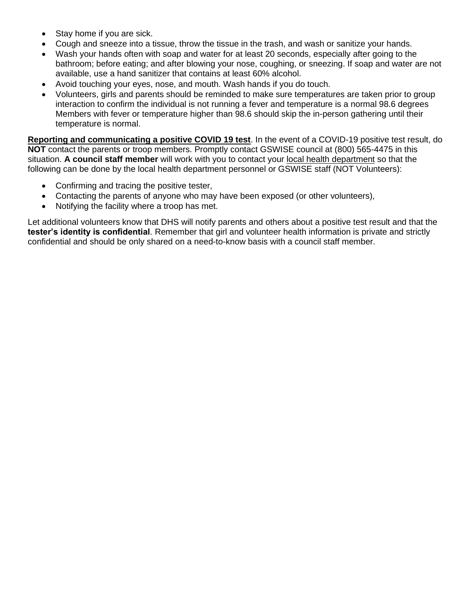- Stay home if you are sick.
- Cough and sneeze into a tissue, throw the tissue in the trash, and wash or sanitize your hands.
- Wash your hands often with soap and water for at least 20 seconds, especially after going to the bathroom; before eating; and after blowing your nose, coughing, or sneezing. If soap and water are not available, use a hand sanitizer that contains at least 60% alcohol.
- Avoid touching your eyes, nose, and mouth. Wash hands if you do touch.
- Volunteers, girls and parents should be reminded to make sure temperatures are taken prior to group interaction to confirm the individual is not running a fever and temperature is a normal 98.6 degrees Members with fever or temperature higher than 98.6 should skip the in-person gathering until their temperature is normal.

**Reporting and communicating a positive COVID 19 test**. In the event of a COVID-19 positive test result, do **NOT** contact the parents or troop members. Promptly contact GSWISE council at (800) 565-4475 in this situation. **A council staff member** will work with you to contact your [local health department](https://www.dhs.wisconsin.gov/lh-depts/counties.htm) so that the following can be done by the local health department personnel or GSWISE staff (NOT Volunteers):

- Confirming and tracing the positive tester,
- Contacting the parents of anyone who may have been exposed (or other volunteers),
- Notifying the facility where a troop has met.

Let additional volunteers know that DHS will notify parents and others about a positive test result and that the **tester's identity is confidential**. Remember that girl and volunteer health information is private and strictly confidential and should be only shared on a need-to-know basis with a council staff member.